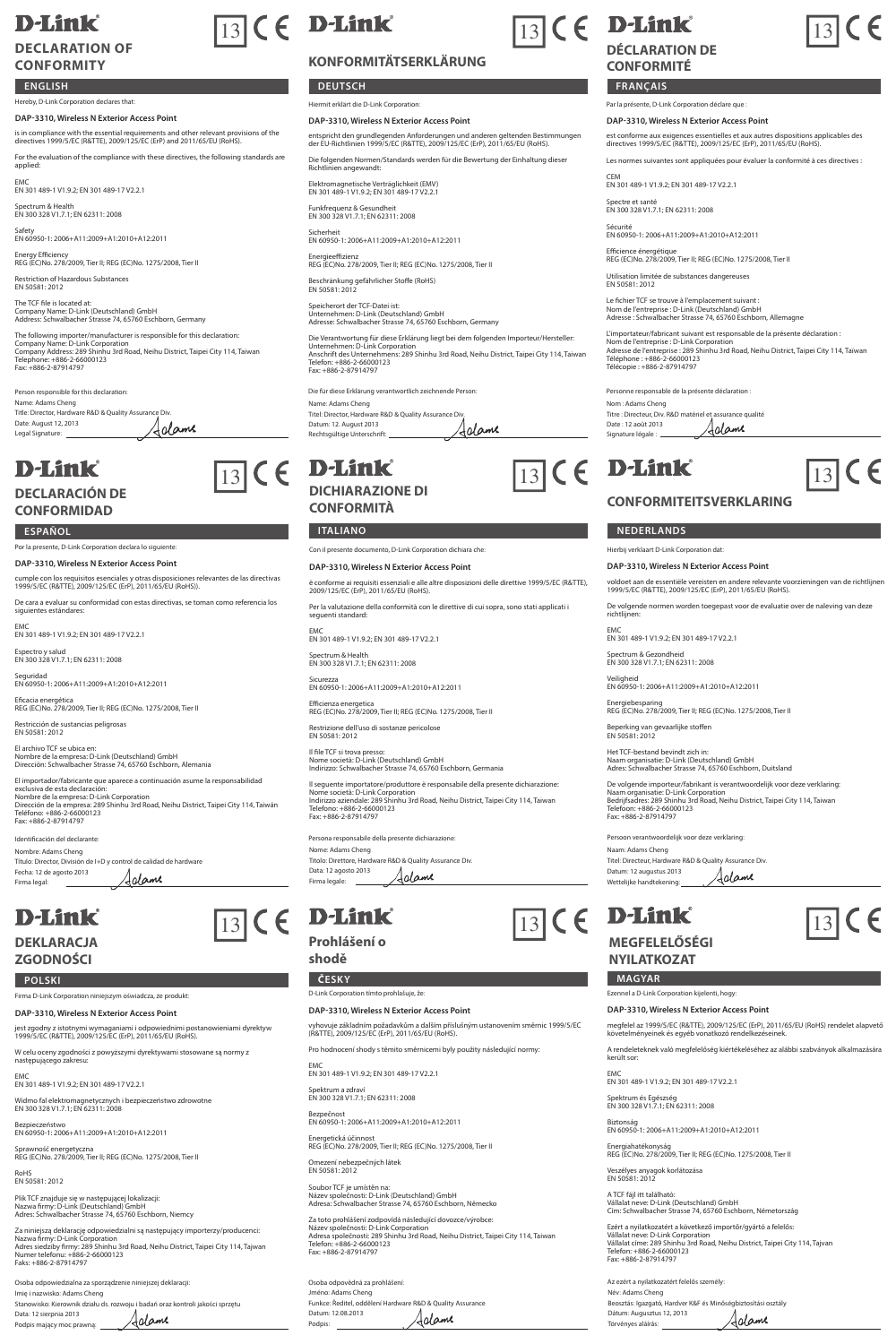## **D-Link**

#### **DECLARATION OF CONFORMITY**

#### **ENGLISH**

### ereby, D-Link Corporation declares that

**DAP-3310, Wireless N Exterior Access Point** is in compliance with the essential requirements and other relevant provisions of the directives 1999/5/EC (R&TTE), 2009/125/EC (ErP) and 2011/65/EU (RoHS).

For the evaluation of the compliance with these directives, the following standards are applied:

EMC EN 301 489-1 V1.9.2; EN 301 489-17 V2.2.1

Spectrum & Health EN 300 328 V1.7.1; EN 62311: 2008

Safety EN 60950-1: 2006+A11:2009+A1:2010+A12:2011

Energy Efficiency REG (EC)No. 278/2009, Tier II; REG (EC)No. 1275/2008, Tier II Restriction of Hazardous Substances EN 50581: 2012

The TCF file is located at: Company Name: D-Link (Deutschland) GmbH Address: Schwalbacher Strasse 74, 65760 Eschborn, Germany

The following importer/manufacturer is responsible for this declaration:<br>Company Name: D-Link Corporation<br>Company Address: 289 Shinhu 3rd Road, Neihu District, Taipei City 114, Taiwan<br>Tele: +886-2-87914797<br>Fax: +886-2-8791

Person responsible for this declaration: Name: Adams Cheng Title: Director, Hardware R&D & Quality Assurance Div. Date: August 12, 2013 Adame Legal Signature:

## **D-Link**

#### **DECLARACIÓN DE CONFORMIDAD**

Por la presente, D-Link Corporation declara lo siguiente:

**DAP-3310, Wireless N Exterior Access Point** cumple con los requisitos esenciales y otras disposiciones relevantes de las directivas 1999/5/EC (R&TTE), 2009/125/EC (ErP), 2011/65/EU (RoHS)).

De cara a evaluar su conformidad con estas directivas, se toman como referencia los siguientes estándares:

EMC EN 301 489-1 V1.9.2; EN 301 489-17 V2.2.1

Espectro y salud EN 300 328 V1.7.1; EN 62311: 2008

Seguridad EN 60950-1: 2006+A11:2009+A1:2010+A12:2011

Eficacia energética REG (EC)No. 278/2009, Tier II; REG (EC)No. 1275/2008, Tier II

Restricción de sustancias peligrosas EN 50581: 2012

El archivo TCF se ubica en: Nombre de la empresa: D-Link (Deutschland) GmbH Dirección: Schwalbacher Strasse 74, 65760 Eschborn, Alemania

El importador/fabricante que aparece a continuación asume la responsabilidad<br>Nombre de la empresa: D-Link Corporation<br>Nombre de la empresa: 2-Bin Sinnhu 3rd Road, Neihu District, Taipei City 114, Taiwán<br>Teléfono: +886-2-66

Identificación del declarante: Nombre: Adams Cheng Título: Director, División de I+D y control de calidad de hardware Fecha: 12 de agosto 2013 Adame Firma legal:

## **D-Link**

#### **DEKLARACJA ZGODNOŚCI**

Firma D-Link Corporation niniejszym oświadcza, że produkt:

**DAP-3310, Wireless N Exterior Access Point** jest zgodny z istotnymi wymaganiami i odpowiednimi postanowieniami dyrektyw 1999/5/EC (R&TTE), 2009/125/EC (ErP), 2011/65/EU (RoHS). W celu oceny zgodności z powyższymi dyrektywami stosowane są normy z następującego zakresu:

EMC EN 301 489-1 V1.9.2; EN 301 489-17 V2.2.1

Widmo fal elektromagnetycznych i bezpieczeństwo zdrowotne EN 300 328 V1.7.1; EN 62311: 2008 Bezpieczeństwo EN 60950-1: 2006+A11:2009+A1:2010+A12:2011

Sprawność energetyczna REG (EC)No. 278/2009, Tier II; REG (EC)No. 1275/2008, Tier II

RoHS EN 50581: 2012

Plik TCF znajduje się w następującej lokalizacji: Nazwa firmy: D-Link (Deutschland) GmbH Adres: Schwalbacher Strasse 74, 65760 Eschborn, Niemcy

Za niniejszą deklarację odpowiedzialni są następujący importerzy/producenci:<br>Nazwa firmy: D-Link Corporation<br>Adres siedziby firmy: 289 Shinhu 3rd Road, Neihu District, Taipei City 114, Tajwan<br>Numer telefonu: +886-2-6600012

Osoba odpowiedzialna za sporządzenie niniejszej deklaracji: Imię i nazwisko: Adams Cheng Stanowisko: Kierownik działu ds. rozwoju i badań oraz kontroli jakości sprzętu Data: 12 sierpnia 2013 Adame Data: 12 sierprincze : . .<br>Podpis mający moc prawną: \_

# $\boxed{13}$  (  $\epsilon$  D-Link

### **KONFORMITÄTSERKLÄRUNG**

**DEUTSCH FRANÇAIS** 

Hiermit erklärt die D-Link Corporation:

**DAP-3310, Wireless N Exterior Access Point**

entspricht den grundlegenden Anforderungen und anderen geltenden Bestimmungen der EU-Richtlinien 1999/5/EC (R&TTE), 2009/125/EC (ErP), 2011/65/EU (RoHS).

Die folgenden Normen/Standards werden für die Bewertung der Einhaltung dieser Richtlinien angewandt:

Elektromagnetische Verträglichkeit (EMV) EN 301 489-1 V1.9.2; EN 301 489-17 V2.2.1

Funkfrequenz & Gesundheit EN 300 328 V1.7.1; EN 62311: 2008

Sicherheit EN 60950-1: 2006+A11:2009+A1:2010+A12:2011

Energieeffizienz REG (EC)No. 278/2009, Tier II; REG (EC)No. 1275/2008, Tier II

Beschränkung gefährlicher Stoffe (RoHS) EN 50581: 2012

Speicherort der TCF-Datei ist: Unternehmen: D-Link (Deutschland) GmbH Adresse: Schwalbacher Strasse 74, 65760 Eschborn, Germany

Die Verantwortung für diese Erklärung liegt bei dem folgenden Importeur/Hersteller:<br>Unternehmen: D-Link Corporation<br>Anschrift des Unternehmens: 289 Shinhu 3rd Road, Neihu District, Taipei City 114, Taiwan<br>Telefon: +886-2-8

Name: Adams Cheng Titel: Director, Hardware R&D & Quality Assurance Div. Die für diese Erklärung verantwortlich zeichnende Person:

Adame Datum: 12. August 2013 Rechtsgültige Unterschrift:

## $\boxed{13}$  (  $\in$  **D-Link**  $\boxed{13}$  (  $\in$  **D-Link**  $\boxed{13}$  (  $\in$ **DICHIARAZIONE DI**

**CONFORMITÀ**

#### **ESPAÑOL ITALIANO NEDERLANDS**

Con il presente documento, D-Link Corporation dichiara che:

**DAP-3310, Wireless N Exterior Access Point**

è conforme ai requisiti essenziali e alle altre disposizioni delle direttive 1999/5/EC (R&TTE), 2009/125/EC (ErP), 2011/65/EU (RoHS).

Per la valutazione della conformità con le direttive di cui sopra, sono stati applicati i seguenti standard:

EMC EN 301 489-1 V1.9.2; EN 301 489-17 V2.2.1

Spectrum & Health EN 300 328 V1.7.1; EN 62311: 2008

Sicurezza EN 60950-1: 2006+A11:2009+A1:2010+A12:2011

Efficienza energetica REG (EC)No. 278/2009, Tier II; REG (EC)No. 1275/2008, Tier II

Restrizione dell'uso di sostanze pericolose EN 50581: 2012

Il file TCF si trova presso: Nome società: D-Link (Deutschland) GmbH Indirizzo: Schwalbacher Strasse 74, 65760 Eschborn, Germania

Il seguente importatore/produttore è responsabile della presente dichiarazione: Nome società: D-Link Corporation Indirizzo aziendale: 289 Shinhu 3rd Road, Neihu District, Taipei City 114, Taiwan Telefono: +886-2-66000123 Fax: +886-2-87914797

**Ila presente dichiarazio** Nome: Adams Cheng Titolo: Direttore, Hardware R&D & Quality Assurance Div. Data: 12 agosto 2013 Adame Firma legale:

## $\boxed{13}$  (  $\in$  **D-Link**  $\boxed{13}$  (  $\in$  **D-Link**  $\boxed{13}$  (  $\in$

**Prohlášení o** 

**shodě**

**POLSKI ČESKY MAGYAR** D-Link Corporation tímto prohlašuje, že:

**DAP-3310, Wireless N Exterior Access Point**

vyhovuje základním požadavkům a dalším příslušným ustanovením směrnic 1999/5/EC (R&TTE), 2009/125/EC (ErP), 2011/65/EU (RoHS).

Pro hodnocení shody s těmito směrnicemi byly použity následující normy:

EMC EN 301 489-1 V1.9.2; EN 301 489-17 V2.2.1

Spektrum a zdraví EN 300 328 V1.7.1; EN 62311: 2008

Bezpečnost EN 60950-1: 2006+A11:2009+A1:2010+A12:2011

Energetická účinnost REG (EC)No. 278/2009, Tier II; REG (EC)No. 1275/2008, Tier II Omezení nebezpečných látek EN 50581: 2012

Soubor TCF je umístěn na: Název společnosti: D-Link (Deutschland) GmbH Adresa: Schwalbacher Strasse 74, 65760 Eschborn, Německo

Za toto prohlášení zodpovídá následující dovozce/výrobce:<br>Název společnosti: D-Link Corporation<br>Adresa společnosti: 289 Shinhu 3rd Road, Neihu District, Taipei City 114, Taiwan<br>Taic: +886-2-87914797<br>Fax: +886-2-87914797

Osoba odpovědná za prohlášení: Jméno: Adams Cheng Funkce: Ředitel, oddělení Hardware R&D & Quality Assurance Datum: 12.08.2013 Adame Podpis:

## $\boxed{13}$  C E



**DÉCLARATION DE** 

**CONFORMITÉ**

Par la présente, D-Link Corporation déclare que :

**DAP-3310, Wireless N Exterior Access Point**

est conforme aux exigences essentielles et aux autres dispositions applicables des directives 1999/5/EC (R&TTE), 2009/125/EC (ErP), 2011/65/EU (RoHS).

 $13$ 

 $\epsilon$ 

Les normes suivantes sont appliquées pour évaluer la conformité à ces directives :

CEM EN 301 489-1 V1.9.2; EN 301 489-17 V2.2.1

Spectre et santé EN 300 328 V1.7.1; EN 62311: 2008

Nom : Adams Cheng

Date : 12 août 2013 Signature légale :

Naam: Adams Cheng

került sor:

Név: Adams Cheng

Dátum: Augusztus 12, 2013 Törvényes aláírás:

Az ezért a nyilatkozatért felelős személy:

Veszélyes anyagok korlátozása EN 50581: 2012 A TCF fájl itt található:

Beosztás: Igazgató, Hardver K&F és Minőségbiztosítási osztály

Vállalat neve: D-Link (Deutschland) GmbH Cím: Schwalbacher Strasse 74, 65760 Eschborn, Németország

Ezért a nyilatkozatért a következő importőr/gyártó a felelős:<br>Vállalat neve: D-Link Corporation<br>Vállalat címe: 289 Shinhu 3rd Road, Neihu District, Taipei City 114, Tajvan<br>Telefon: +886-2-87914797<br>Fax: +886-2-87914797

Aclame

Titel: Directeur, Hardware R&D & Quality Assurance Datum: 12 augustus 2013 Wettelijke handtekening:

**MEGFELELŐSÉGI NYILATKOZAT**

Ezennel a D-Link Corporation kijelenti, hogy: **DAP-3310, Wireless N Exterior Access Point**

EMC EN 301 489-1 V1.9.2; EN 301 489-17 V2.2.1 Spektrum és Egészség EN 300 328 V1.7.1; EN 62311: 2008 Biztonság EN 60950-1: 2006+A11:2009+A1:2010+A12:2011 Energiahatékonyság REG (EC)No. 278/2009, Tier II; REG (EC)No. 1275/2008, Tier II

Persoon verantwoordelijk voor deze verklaring:

Het TCF-bestand bevindt zich in: Naam organisatie: D-Link (Deutschland) GmbH Adres: Schwalbacher Strasse 74, 65760 Eschborn, Duitsland

De volgende importeur/fabrikant is verantwoordelijk voor deze verklaring<br>Naam organisatie: D-Link Corporation<br>Bedrijfsadres: 289 Shinhu 3rd Road, Neihu District, Taipei City 114, Taiwan<br>Telefoon: +886-2-65000123<br>Fax: +886-

Adame

megfelel az 1999/5/EC (R&TTE), 2009/125/EC (ErP), 2011/65/EU (RoHS) rendelet alapvető követelményeinek és egyéb vonatkozó rendelkezéseinek. A rendeleteknek való megfelelőség kiértékeléséhez az alábbi szabványok alkalmazására

Sécurité EN 60950-1: 2006+A11:2009+A1:2010+A12:2011

Utilisation limitée de substances dangereuses EN 50581: 2012

Titre : Directeur, Div. R&D matériel et assurance qualité<br>Date : 12 août 2013<br>Classification of the basic classification of the state of the state of the state of the state of the state of

**CONFORMITEITSVERKLARING**

Personne responsable de la présente déclaration :

Hierbij verklaart D-Link Corporation dat: **DAP-3310, Wireless N Exterior Access Point**

EMC EN 301 489-1 V1.9.2; EN 301 489-17 V2.2.1 Spectrum & Gezondheid EN 300 328 V1.7.1; EN 62311: 2008 Veiligheid EN 60950-1: 2006+A11:2009+A1:2010+A12:2011 Energiebesparing REG (EC)No. 278/2009, Tier II; REG (EC)No. 1275/2008, Tier II

Beperking van gevaarlijke stoffen EN 50581: 2012

voldoet aan de essentiële vereisten en andere relevante voorzieningen van de richtlijnen 1999/5/EC (R&TTE), 2009/125/EC (ErP), 2011/65/EU (RoHS). De volgende normen worden toegepast voor de evaluatie over de naleving van deze richtlijnen:

Efficience énergétique REG (EC)No. 278/2009, Tier II; REG (EC)No. 1275/2008, Tier II

Le fichier TCF se trouve à l'emplacement suivant : Nom de l'entreprise : D-Link (Deutschland) GmbH Adresse : Schwalbacher Strasse 74, 65760 Eschborn, Allemagne L'importateur/fabricant suivant est responsable de la présente déclaration : Nom de l'entreprise : D-Link Corporation Adresse de l'entreprise : 289 Shinhu 3rd Road, Neihu District, Taipei City 114, Taïwan Téléphone : +886-2-66000123 Télécopie : +886-2-87914797